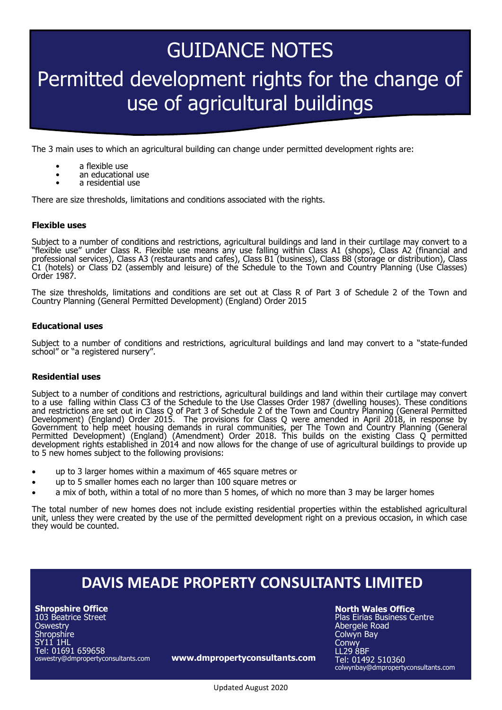# GUIDANCE NOTES Permitted development rights for the change of use of agricultural buildings

The 3 main uses to which an agricultural building can change under permitted development rights are:

- a flexible use
- an educational use
- a residential use

There are size thresholds, limitations and conditions associated with the rights.

## **Flexible uses**

Subject to a number of conditions and restrictions, agricultural buildings and land in their curtilage may convert to a "flexible use" under Class R. Flexible use means any use falling within Class A1 (shops), Class A2 (financial and professional services), Class A3 (restaurants and cafes), Class B1 (business), Class B8 (storage or distribution), Class C1 (hotels) or Class D2 (assembly and leisure) of the Schedule to the Town and Country Planning (Use Classes) Order 1987.

The size thresholds, limitations and conditions are set out at Class R of Part 3 of Schedule 2 of the Town and Country Planning (General Permitted Development) (England) Order 2015

#### **Educational uses**

Subject to a number of conditions and restrictions, agricultural buildings and land may convert to a "state-funded school" or "a registered nursery".

## **Residential uses**

Subject to a number of conditions and restrictions, agricultural buildings and land within their curtilage may convert to a use falling within Class C3 of the Schedule to the Use Classes Order 1987 (dwelling houses). These conditions and restrictions are set out in Class Q of Part 3 of Schedule 2 of the Town and Country Planning (General Permitted Development) (England) Order 2015. The provisions for Class Q were amended in April 2018, in response by Government to help meet housing demands in rural communities, per The Town and Country Planning (General Permitted Development) (England) (Amendment) Order 2018. This builds on the existing Class Q permitted development rights established in 2014 and now allows for the change of use of agricultural buildings to provide up to 5 new homes subject to the following provisions:

- up to 3 larger homes within a maximum of 465 square metres or
- up to 5 smaller homes each no larger than 100 square metres or
- a mix of both, within a total of no more than 5 homes, of which no more than 3 may be larger homes

The total number of new homes does not include existing residential properties within the established agricultural unit, unless they were created by the use of the permitted development right on a previous occasion, in which case they would be counted.

# **DAVIS MEADE PROPERTY CONSULTANTS LIMITED**

**Shropshire Office** 103 Beatrice Street **Oswestry** Shropshire SY11 1HL Tel: 01691 659658 oswestry@dmpropertyconsultants.com

**www.dmpropertyconsultants.com**

**North Wales Office**

Plas Eirias Business Centre Abergele Road Colwyn Bay **Conwy** LL29 8BF Tel: 01492 510360 colwynbay@dmpropertyconsultants.com